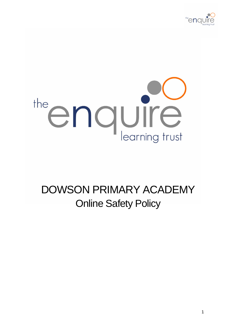



# DOWSON PRIMARY ACADEMY Online Safety Policy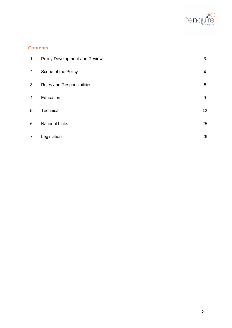

# **Contents**

| 1. | Policy Development and Review | 3  |
|----|-------------------------------|----|
| 2. | Scope of the Policy           | 4  |
| 3  | Roles and Responsibilities    | 5  |
| 4. | Education                     | 9  |
| 5. | Technical                     | 12 |
| 6. | <b>National Links</b>         | 25 |
| 7. | Legislation                   | 26 |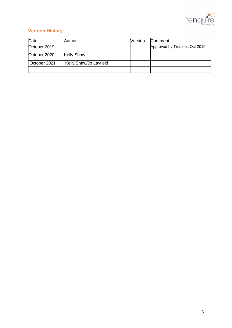

# **Version History**

| Date         | Author                 | <b>Version</b> | Comment                       |
|--------------|------------------------|----------------|-------------------------------|
| October 2019 |                        |                | Approved by Trustees Oct 2019 |
| October 2020 | <b>Kelly Shaw</b>      |                |                               |
| October 2021 | Kelly Shaw/Jo Layfield |                |                               |
|              |                        |                |                               |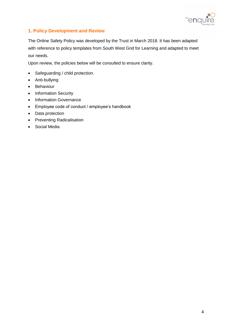

# **1. Policy Development and Review**

The Online Safety Policy was developed by the Trust in March 2018. It has been adapted with reference to policy templates from South West Grid for Learning and adapted to meet our needs.

Upon review, the policies below will be consulted to ensure clarity.

- Safeguarding / child protection.
- Anti-bullying
- Behaviour
- Information Security
- Information Governance
- Employee code of conduct / employee's handbook
- Data protection
- Preventing Radicalisation
- Social Media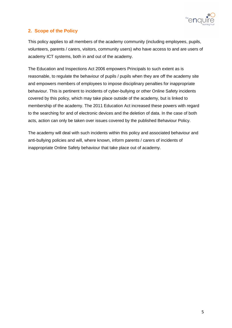

# **2. Scope of the Policy**

This policy applies to all members of the academy community (including employees, pupils, volunteers, parents / carers, visitors, community users) who have access to and are users of academy ICT systems, both in and out of the academy.

The Education and Inspections Act 2006 empowers Principals to such extent as is reasonable, to regulate the behaviour of pupils / pupils when they are off the academy site and empowers members of employees to impose disciplinary penalties for inappropriate behaviour. This is pertinent to incidents of cyber-bullying or other Online Safety incidents covered by this policy, which may take place outside of the academy, but is linked to membership of the academy. The 2011 Education Act increased these powers with regard to the searching for and of electronic devices and the deletion of data. In the case of both acts, action can only be taken over issues covered by the published Behaviour Policy.

The academy will deal with such incidents within this policy and associated behaviour and anti-bullying policies and will, where known, inform parents / carers of incidents of inappropriate Online Safety behaviour that take place out of academy.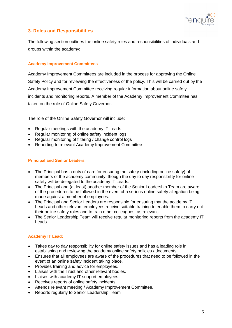

# **3. Roles and Responsibilities**

The following section outlines the online safety roles and responsibilities of individuals and groups within the academy:

## **Academy Improvement Committees**

Academy Improvement Committees are included in the process for approving the Online Safety Policy and for reviewing the effectiveness of the policy. This will be carried out by the Academy Improvement Committee receiving regular information about online safety incidents and monitoring reports. A member of the Academy Improvement Commitee has taken on the role of Online Safety Governor.

The role of the Online Safety Governor will include:

- Regular meetings with the academy IT Leads
- Regular monitoring of online safety incident logs
- Regular monitoring of filtering / change control logs
- Reporting to relevant Academy Improvement Committee

## **Principal and Senior Leaders**

- The Principal has a duty of care for ensuring the safety (including online safety) of members of the academy community, though the day to day responsibility for online safety will be delegated to the academy IT Leads.
- The Principal and (at least) another member of the Senior Leadership Team are aware of the procedures to be followed in the event of a serious online safety allegation being made against a member of employees.
- The Principal and Senior Leaders are responsible for ensuring that the academy IT Leads and other relevant employees receive suitable training to enable them to carry out their online safety roles and to train other colleagues, as relevant.
- The Senior Leadership Team will receive regular monitoring reports from the academy IT Leads.

# **Academy IT Lead:**

- Takes day to day responsibility for online safety issues and has a leading role in establishing and reviewing the academy online safety policies / documents.
- Ensures that all employees are aware of the procedures that need to be followed in the event of an online safety incident taking place.
- Provides training and advice for employees.
- Liaises with the Trust and other relevant bodies.
- Liaises with academy IT support employees.
- Receives reports of online safety incidents.
- Attends relevant meeting / Academy Improvement Committee.
- Reports regularly to Senior Leadership Team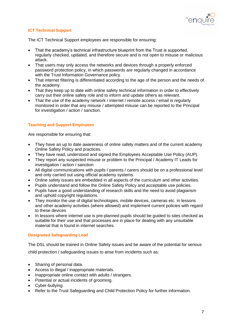

# **ICT Technical Support**

The ICT Technical Support employees are responsible for ensuring:

- That the academy's technical infrastructure blueprint from the Trust is supported, regularly checked, updated, and therefore secure and is not open to misuse or malicious attack.
- That users may only access the networks and devices through a properly enforced password protection policy, in which passwords are regularly changed in accordance with the Trust Information Governance policy.
- That internet filtering is differentiated according to the age of the person and the needs of the academy.
- That they keep up to date with online safety technical information in order to effectively carry out their online safety role and to inform and update others as relevant.
- That the use of the academy network / internet / remote access / email is regularly monitored in order that any misuse / attempted misuse can be reported to the Principal for investigation / action / sanction.

## **Teaching and Support Employees**

Are responsible for ensuring that:

- They have an up to date awareness of online safety matters and of the current academy Online Safety Policy and practices.
- They have read, understood and signed the Employees Acceptable Use Policy (AUP).
- They report any suspected misuse or problem to the Principal / Academy IT Leads for investigation / action / sanction
- All digital communications with pupils / parents / carers should be on a professional level and only carried out using official academy systems.
- Online safety issues are embedded in all aspects of the curriculum and other activities.
- Pupils understand and follow the Online Safety Policy and acceptable use policies.
- Pupils have a good understanding of research skills and the need to avoid plagiarism and uphold copyright regulations.
- They monitor the use of digital technologies, mobile devices, cameras etc. in lessons and other academy activities (where allowed) and implement current policies with regard to these devices
- In lessons where internet use is pre-planned pupils should be guided to sites checked as suitable for their use and that processes are in place for dealing with any unsuitable material that is found in internet searches.

#### **Designated Safeguarding Lead**

The DSL should be trained in Online Safety issues and be aware of the potential for serious child protection / safeguarding issues to arise from incidents such as:

- Sharing of personal data.
- Access to illegal / inappropriate materials.
- Inappropriate online contact with adults / strangers.
- Potential or actual incidents of grooming.
- Cyber-bullying.
- Refer to the Trust Safeguarding and Child Protection Policy for further information.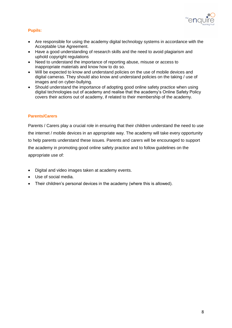

# **Pupils:**

- Are responsible for using the academy digital technology systems in accordance with the Acceptable Use Agreement.
- Have a good understanding of research skills and the need to avoid plagiarism and uphold copyright regulations
- Need to understand the importance of reporting abuse, misuse or access to inappropriate materials and know how to do so.
- Will be expected to know and understand policies on the use of mobile devices and digital cameras. They should also know and understand policies on the taking / use of images and on cyber-bullying.
- Should understand the importance of adopting good online safety practice when using digital technologies out of academy and realise that the academy's Online Safety Policy covers their actions out of academy, if related to their membership of the academy.

#### **Parents/Carers**

Parents / Carers play a crucial role in ensuring that their children understand the need to use the internet / mobile devices in an appropriate way. The academy will take every opportunity to help parents understand these issues. Parents and carers will be encouraged to support the academy in promoting good online safety practice and to follow guidelines on the appropriate use of:

- Digital and video images taken at academy events.
- Use of social media.
- Their children's personal devices in the academy (where this is allowed).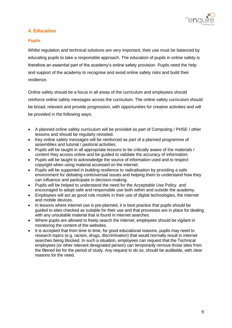

# **4. Education**

#### **Pupils**

Whilst regulation and technical solutions are very important, their use must be balanced by educating pupils to take a responsible approach. The education of pupils in online safety is therefore an essential part of the academy's online safety provision. Pupils need the help and support of the academy to recognise and avoid online safety risks and build their resilience.

Online safety should be a focus in all areas of the curriculum and employees should reinforce online safety messages across the curriculum. The online safety curriculum should be broad, relevant and provide progression, with opportunities for creative activities and will be provided in the following ways:

- A planned online safety curriculum will be provided as part of Computing / PHSE / other lessons and should be regularly revisited.
- Key online safety messages will be reinforced as part of a planned programme of assemblies and tutorial / pastoral activities.
- Pupils will be taught in all appropriate lessons to be critically aware of the materials / content they access online and be guided to validate the accuracy of information.
- Pupils will be taught to acknowledge the source of information used and to respect copyright when using material accessed on the internet.
- Pupils will be supported in building resilience to radicalisation by providing a safe environment for debating controversial issues and helping them to understand how they can influence and participate in decision-making.
- Pupils will be helped to understand the need for the Acceptable Use Policy and encouraged to adopt safe and responsible use both within and outside the academy.
- Employees will act as good role models in their use of digital technologies, the internet and mobile devices.
- In lessons where internet use is pre-planned, it is best practice that pupils should be guided to sites checked as suitable for their use and that processes are in place for dealing with any unsuitable material that is found in internet searches.
- Where pupils are allowed to freely search the internet, employees should be vigilant in monitoring the content of the websites.
- It is accepted that from time to time, for good educational reasons, pupils may need to research topics (e.g. racism, drugs, discrimination) that would normally result in internet searches being blocked. In such a situation, employees can request that the Technical employees (or other relevant designated person) can temporarily remove those sites from the filtered list for the period of study. Any request to do so, should be auditable, with clear reasons for the need.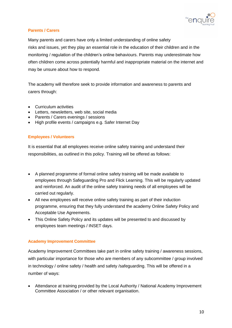

## **Parents / Carers**

Many parents and carers have only a limited understanding of online safety risks and issues, yet they play an essential role in the education of their children and in the monitoring / regulation of the children's online behaviours. Parents may underestimate how often children come across potentially harmful and inappropriate material on the internet and may be unsure about how to respond.

The academy will therefore seek to provide information and awareness to parents and carers through:

- Curriculum activities
- Letters, newsletters, web site, social media
- Parents / Carers evenings / sessions
- High profile events / campaigns e.g. Safer Internet Day

## **Employees / Volunteers**

It is essential that all employees receive online safety training and understand their responsibilities, as outlined in this policy. Training will be offered as follows:

- A planned programme of formal online safety training will be made available to employees through Safeguarding Pro and Flick Learning. This will be regularly updated and reinforced. An audit of the online safety training needs of all employees will be carried out regularly.
- All new employees will receive online safety training as part of their induction programme, ensuring that they fully understand the academy Online Safety Policy and Acceptable Use Agreements.
- This Online Safety Policy and its updates will be presented to and discussed by employees team meetings / INSET days.

#### **Academy Improvement Committee**

Academy Improvement Committees take part in online safety training / awareness sessions, with particular importance for those who are members of any subcommittee / group involved in technology / online safety / health and safety /safeguarding. This will be offered in a number of ways:

• Attendance at training provided by the Local Authority / National Academy Improvement Committee Association / or other relevant organisation.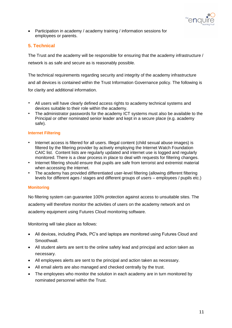

• Participation in academy / academy training / information sessions for employees or parents.

# **5. Technical**

The Trust and the academy will be responsible for ensuring that the academy infrastructure / network is as safe and secure as is reasonably possible.

The technical requirements regarding security and integrity of the academy infrastructure and all devices is contained within the Trust Information Governance policy. The following is for clarity and additional information.

- All users will have clearly defined access rights to academy technical systems and devices suitable to their role within the academy.
- *•* The administrator passwords for the academy ICT systems must also be available to the Principal or other nominated senior leader and kept in a secure place (e.g. academy safe).

## **Internet Filtering**

- *•* Internet access is filtered for all users. Illegal content (child sexual abuse images) is filtered by the filtering provider by actively employing the Internet Watch Foundation CAIC list. Content lists are regularly updated and internet use is logged and regularly monitored. There is a clear process in place to deal with requests for filtering changes.
- *•* Internet filtering should ensure that pupils are safe from terrorist and extremist material when accessing the internet.
- *•* The academy has provided differentiated user-level filtering (allowing different filtering levels for different ages / stages and different groups of users – employees / pupils etc.)

#### **Monitoring**

No filtering system can guarantee 100% protection against access to unsuitable sites. The academy will therefore monitor the activities of users on the academy network and on academy equipment using Futures Cloud monitoring software.

Monitoring will take place as follows:

- All devices, including iPads, PC's and laptops are monitored using Futures Cloud and Smoothwall.
- All student alerts are sent to the online safety lead and principal and action taken as necessary.
- All employees alerts are sent to the principal and action taken as necessary.
- All email alerts are also managed and checked centrally by the trust.
- The employees who monitor the solution in each academy are in turn monitored by nominated personnel within the Trust.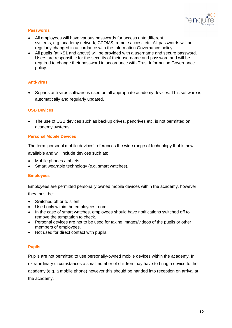

## **Passwords**

- All employees will have various passwords for access onto different systems, e.g. academy network, CPOMS, remote access etc. All passwords will be regularly changed in accordance with the Information Governance policy.
- All pupils (at KS1 and above) will be provided with a username and secure password. Users are responsible for the security of their username and password and will be required to change their password in accordance with Trust Information Governance policy.

#### **Anti-Virus**

• Sophos anti-virus software is used on all appropriate academy devices. This software is automatically and regularly updated.

#### **USB Devices**

• The use of USB devices such as backup drives, pendrives etc. is not permitted on academy systems.

#### **Personal Mobile Devices**

The term 'personal mobile devices' references the wide range of technology that is now available and will include devices such as:

- Mobile phones / tablets.
- Smart wearable technology (e.g. smart watches).

#### **Employees**

Employees are permitted personally owned mobile devices within the academy, however they must be:

- Switched off or to silent.
- Used only within the employees room.
- In the case of smart watches, employees should have notifications switched off to remove the temptation to check.
- Personal devices are not to be used for taking images/videos of the pupils or other members of employees.
- Not used for direct contact with pupils.

#### **Pupils**

Pupils are not permitted to use personally-owned mobile devices within the academy. In extraordinary circumstances a small number of children may have to bring a device to the academy (e.g. a mobile phone) however this should be handed into reception on arrival at the academy.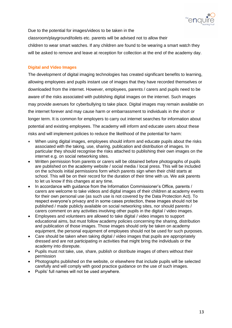

Due to the potential for images/videos to be taken in the classroom/playground/toilets etc. parents will be advised not to allow their children to wear smart watches. If any children are found to be wearing a smart watch they will be asked to remove and leave at reception for collection at the end of the academy day.

## **Digital and Video Images**

The development of digital imaging technologies has created significant benefits to learning, allowing employees and pupils instant use of images that they have recorded themselves or downloaded from the internet. However, employees, parents / carers and pupils need to be aware of the risks associated with publishing digital images on the internet. Such images may provide avenues for cyberbullying to take place. Digital images may remain available on the internet forever and may cause harm or embarrassment to individuals in the short or longer term. It is common for employers to carry out internet searches for information about potential and existing employees. The academy will inform and educate users about these risks and will implement policies to reduce the likelihood of the potential for harm:

- When using digital images, employees should inform and educate pupils about the risks associated with the taking, use, sharing, publication and distribution of images. In particular they should recognise the risks attached to publishing their own images on the internet e.g. on social networking sites.
- Written permission from parents or carers will be obtained before photographs of pupils are published on the academy website / social media / local press. This will be included on the schools initial permissions form which parents sign when their child starts at school. This will be on their record for the duration of their time with us. We ask parents to let us know if this changes at any time.
- In accordance with guidance from the Information Commissioner's Office, parents / carers are welcome to take videos and digital images of their children at academy events for their own personal use (as such use is not covered by the Data Protection Act). To respect everyone's privacy and in some cases protection, these images should not be published / made publicly available on social networking sites, nor should parents / carers comment on any activities involving other pupils in the digital / video images.
- Employees and volunteers are allowed to take digital / video images to support educational aims, but must follow academy policies concerning the sharing, distribution and publication of those images. Those images should only be taken on academy equipment, the personal equipment of employees should not be used for such purposes.
- Care should be taken when taking digital / video images that pupils are appropriately dressed and are not participating in activities that might bring the individuals or the academy into disrepute.
- Pupils must not take, use, share, publish or distribute images of others without their permission
- Photographs published on the website, or elsewhere that include pupils will be selected carefully and will comply with good practice guidance on the use of such images.
- Pupils' full names will not be used anywhere.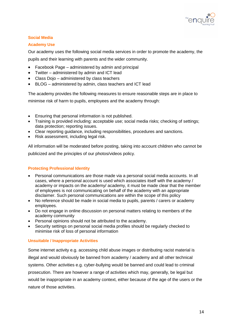

# **Social Media**

## **Academy Use**

Our academy uses the following social media services in order to promote the academy, the

pupils and their learning with parents and the wider community.

- Facebook Page administered by admin and principal
- Twitter administered by admin and ICT lead
- Class Dojo administered by class teachers
- BLOG administered by admin, class teachers and ICT lead

The academy provides the following measures to ensure reasonable steps are in place to minimise risk of harm to pupils, employees and the academy through:

- Ensuring that personal information is not published.
- Training is provided including: acceptable use; social media risks; checking of settings; data protection; reporting issues.
- Clear reporting guidance, including responsibilities, procedures and sanctions.
- Risk assessment, including legal risk.

All information will be moderated before posting, taking into account children who cannot be publicized and the principles of our photos/videos policy.

# **Protecting Professional Identity**

- Personal communications are those made via a personal social media accounts. In all cases, where a personal account is used which associates itself with the academy / academy or impacts on the academy/ academy, it must be made clear that the member of employees is not communicating on behalf of the academy with an appropriate disclaimer. Such personal communications are within the scope of this policy
- No reference should be made in social media to pupils, parents / carers or academy employees.
- Do not engage in online discussion on personal matters relating to members of the academy community
- Personal opinions should not be attributed to the academy.
- Security settings on personal social media profiles should be regularly checked to minimise risk of loss of personal information

#### **Unsuitable / Inappropriate Activities**

Some internet activity e.g. accessing child abuse images or distributing racist material is illegal and would obviously be banned from academy / academy and all other technical systems. Other activities e.g. cyber-bullying would be banned and could lead to criminal prosecution. There are however a range of activities which may, generally, be legal but would be inappropriate in an academy context, either because of the age of the users or the nature of those activities.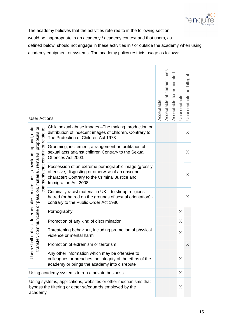

The academy believes that the activities referred to in the following section would be inappropriate in an academy / academy context and that users, as defined below, should not engage in these activities in / or outside the academy when using

academy equipment or systems. The academy policy restricts usage as follows:

| <b>User Actions</b>                                                                                                                        |                                                                                                                                                                                     | Acceptable | at certain times<br>Acceptable | Acceptable for nominated | Unacceptable | and illega<br>Unacceptable |
|--------------------------------------------------------------------------------------------------------------------------------------------|-------------------------------------------------------------------------------------------------------------------------------------------------------------------------------------|------------|--------------------------------|--------------------------|--------------|----------------------------|
|                                                                                                                                            | Child sexual abuse images - The making, production or<br>distribution of indecent images of children. Contrary to<br>The Protection of Children Act 1978                            |            |                                |                          |              | X                          |
|                                                                                                                                            | Grooming, incitement, arrangement or facilitation of<br>sexual acts against children Contrary to the Sexual<br>Offences Act 2003.                                                   |            |                                |                          |              | X                          |
| comments that contain or relate to:<br>not visit Internet sites, make, post, download, upload, data<br>on, material, remarks, proposals or | Possession of an extreme pornographic image (grossly<br>offensive, disgusting or otherwise of an obscene<br>character) Contrary to the Criminal Justice and<br>Immigration Act 2008 |            |                                |                          |              | $\chi$                     |
| , communicate or pass                                                                                                                      | Criminally racist material in UK - to stir up religious<br>hatred (or hatred on the grounds of sexual orientation) -<br>contrary to the Public Order Act 1986                       |            |                                |                          |              | X                          |
|                                                                                                                                            | Pornography                                                                                                                                                                         |            |                                |                          | X            |                            |
|                                                                                                                                            | Promotion of any kind of discrimination                                                                                                                                             |            |                                |                          | X            |                            |
|                                                                                                                                            | Threatening behaviour, including promotion of physical<br>violence or mental harm                                                                                                   |            |                                |                          | X            |                            |
| transfer                                                                                                                                   | Promotion of extremism or terrorism                                                                                                                                                 |            |                                |                          |              | $\times$                   |
| Users shall                                                                                                                                | Any other information which may be offensive to<br>colleagues or breaches the integrity of the ethos of the<br>academy or brings the academy into disrepute                         |            |                                |                          | X            |                            |
|                                                                                                                                            | Using academy systems to run a private business                                                                                                                                     |            |                                |                          | $\times$     |                            |
| Using systems, applications, websites or other mechanisms that<br>bypass the filtering or other safeguards employed by the<br>academy      |                                                                                                                                                                                     |            |                                |                          | X            |                            |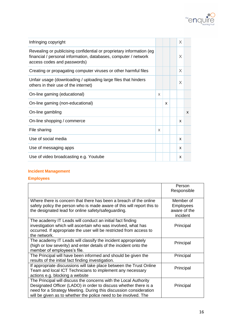

| Infringing copyright                                                                                                                                                    |   |   | X |              |
|-------------------------------------------------------------------------------------------------------------------------------------------------------------------------|---|---|---|--------------|
| Revealing or publicising confidential or proprietary information (eg)<br>financial / personal information, databases, computer / network<br>access codes and passwords) |   |   | X |              |
| Creating or propagating computer viruses or other harmful files                                                                                                         |   |   | X |              |
| Unfair usage (downloading / uploading large files that hinders<br>others in their use of the internet)                                                                  |   |   | X |              |
| On-line gaming (educational)                                                                                                                                            | X |   |   |              |
| On-line gaming (non-educational)                                                                                                                                        |   | X |   |              |
| On-line gambling                                                                                                                                                        |   |   |   | $\mathsf{x}$ |
| On-line shopping / commerce                                                                                                                                             |   |   | X |              |
| File sharing                                                                                                                                                            | X |   |   |              |
| Use of social media                                                                                                                                                     |   |   | X |              |
| Use of messaging apps                                                                                                                                                   |   |   | X |              |
| Use of video broadcasting e.g. Youtube                                                                                                                                  |   |   | X |              |

# **Incident Management**

**Employees**

|                                                                                                                                                                                                                                                                              | Person<br>Responsible         |
|------------------------------------------------------------------------------------------------------------------------------------------------------------------------------------------------------------------------------------------------------------------------------|-------------------------------|
|                                                                                                                                                                                                                                                                              |                               |
| Where there is concern that there has been a breach of the online<br>safety policy the person who is made aware of this will report this to                                                                                                                                  | Member of<br><b>Employees</b> |
| the designated lead for online safety/safeguarding.                                                                                                                                                                                                                          | aware of the<br>incident      |
| The academy IT Leads will conduct an initial fact finding<br>investigation which will ascertain who was involved, what has<br>occurred. If appropriate the user will be restricted from access to<br>the network.                                                            | Principal                     |
| The academy IT Leads will classify the incident appropriately<br>(high or low severity) and enter details of the incident onto the<br>member of employees's file.                                                                                                            | Principal                     |
| The Principal will have been informed and should be given the<br>results of the initial fact finding investigation.                                                                                                                                                          | Principal                     |
| If appropriate discussions will take place between the Trust Online<br>Team and local ICT Technicians to implement any necessary<br>actions e.g. blocking a website                                                                                                          | Principal                     |
| The Principal will discuss the concerns with the Local Authority<br>Designated Officer (LADO) in order to discuss whether there is a<br>need for a Strategy Meeting. During this discussion consideration<br>will be given as to whether the police need to be involved. The | Principal                     |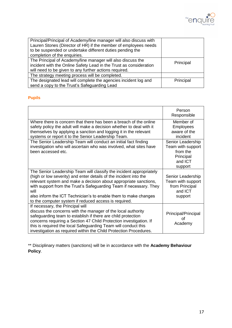

| Principal/Principal of Academy/line manager will also discuss with |           |
|--------------------------------------------------------------------|-----------|
| Lauren Stones (Director of HR) if the member of employees needs    |           |
| to be suspended or undertake different duties pending the          |           |
| completion of the enquiries.                                       |           |
| The Principal of Academy/line manager will also discuss the        | Principal |
| incident with the Online Safety Lead in the Trust as consideration |           |
| will need to be given to any further actions required.             |           |
| The strategy meeting process will be completed.                    |           |
| The designated lead will complete the agencies incident log and    | Principal |
| send a copy to the Trust's Safeguarding Lead                       |           |

# **Pupils**

|                                                                                                                                                                                                                                                                                                                                                                                                                        | Person<br>Responsible                                                                 |
|------------------------------------------------------------------------------------------------------------------------------------------------------------------------------------------------------------------------------------------------------------------------------------------------------------------------------------------------------------------------------------------------------------------------|---------------------------------------------------------------------------------------|
| Where there is concern that there has been a breach of the online<br>safety policy the adult will make a decision whether to deal with it<br>themselves by applying a sanction and logging it in the relevant<br>systems or report it to the Senior Leadership Team.                                                                                                                                                   | Member of<br><b>Employees</b><br>aware of the<br>incident                             |
| The Senior Leadership Team will conduct an initial fact finding<br>investigation who will ascertain who was involved, what sites have<br>been accessed etc.                                                                                                                                                                                                                                                            | Senior Leadership<br>Team with support<br>from the<br>Principal<br>and ICT<br>support |
| The Senior Leadership Team will classify the incident appropriately<br>(high or low severity) and enter details of the incident into the<br>relevant system and make a decision about appropriate sanctions,<br>with support from the Trust's Safeguarding Team if necessary. They<br>will<br>also inform the ICT Technician's to enable them to make changes<br>to the computer system if reduced access is required. | Senior Leadership<br>Team with support<br>from Principal<br>and ICT<br>support        |
| If necessary, the Principal will<br>discuss the concerns with the manager of the local authority<br>safeguarding team to establish if there are child protection<br>concerns requiring a Section 47 Child Protection investigation. If<br>this is required the local Safeguarding Team will conduct this<br>investigation as required within the Child Protection Procedures.                                          | Principal/Principal<br>Ωf<br>Academy                                                  |

\*\* Disciplinary matters (sanctions) will be in accordance with the **Academy Behaviour Policy**.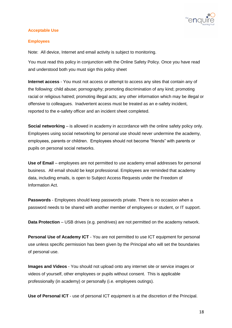

#### **Acceptable Use**

## **Employees**

Note: All device, Internet and email activity is subject to monitoring.

You must read this policy in conjunction with the Online Safety Policy. Once you have read and understood both you must sign this policy sheet

**Internet access** - You must not access or attempt to access any sites that contain any of the following: child abuse; pornography; promoting discrimination of any kind; promoting racial or religious hatred; promoting illegal acts; any other information which may be illegal or offensive to colleagues. Inadvertent access must be treated as an e-safety incident, reported to the e-safety officer and an incident sheet completed.

**Social networking** – is allowed in academy in accordance with the online safety policy only. Employees using social networking for personal use should never undermine the academy, employees, parents or children. Employees should not become "friends" with parents or pupils on personal social networks.

**Use of Email** – employees are not permitted to use academy email addresses for personal business. All email should be kept professional. Employees are reminded that academy data, including emails, is open to Subject Access Requests under the Freedom of Information Act.

**Passwords** - Employees should keep passwords private. There is no occasion when a password needs to be shared with another member of employees or student, or IT support.

**Data Protection** – USB drives (e.g. pendrives) are not permitted on the academy network.

**Personal Use of Academy ICT** - You are not permitted to use ICT equipment for personal use unless specific permission has been given by the Principal who will set the boundaries of personal use.

**Images and Videos** - You should not upload onto any internet site or service images or videos of yourself, other employees or pupils without consent. This is applicable professionally (in academy) or personally (i.e. employees outings).

**Use of Personal ICT** - use of personal ICT equipment is at the discretion of the Principal.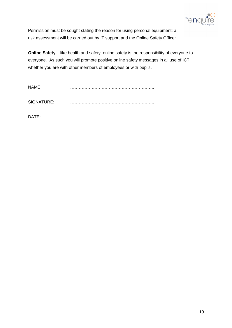

Permission must be sought stating the reason for using personal equipment; a risk assessment will be carried out by IT support and the Online Safety Officer.

**Online Safety** – like health and safety, online safety is the responsibility of everyone to everyone. As such you will promote positive online safety messages in all use of ICT whether you are with other members of employees or with pupils.

| NAME:      |  |
|------------|--|
| SIGNATURE: |  |
| DATE:      |  |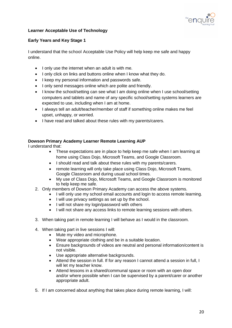

## **Learner Acceptable Use of Technology**

## **Early Years and Key Stage 1**

I understand that the school Acceptable Use Policy will help keep me safe and happy online.

- I only use the internet when an adult is with me.
- I only click on links and buttons online when I know what they do.
- I keep my personal information and passwords safe.
- I only send messages online which are polite and friendly.
- I know the school/setting can see what I am doing online when I use school/setting computers and tablets and name of any specific school/setting systems learners are expected to use, including when I am at home.
- I always tell an adult/teacher/member of staff if something online makes me feel upset, unhappy, or worried.
- I have read and talked about these rules with my parents/carers.

## **Dowson Primary Academy Learner Remote Learning AUP**

I understand that:

- These expectations are in place to help keep me safe when I am learning at home using Class Dojo, Microsoft Teams, and Google Classroom.
- I should read and talk about these rules with my parents/carers.
- remote learning will only take place using Class Dojo, Microsoft Teams, Google Classroom and during usual school times.
- My use of Class Dojo, Microsoft Teams, and Google Classroom is monitored to help keep me safe.
- 2. Only members of Dowson Primary Academy can access the above systems.
	- I will only use my school email accounts and login to access remote learning.
	- I will use privacy settings as set up by the school.
	- I will not share my login/password with others
	- I will not share any access links to remote learning sessions with others.
- 3. When taking part in remote learning I will behave as I would in the classroom.
- 4. When taking part in live sessions I will:
	- Mute my video and microphone.
	- Wear appropriate clothing and be in a suitable location.
	- Ensure backgrounds of videos are neutral and personal information/content is not visible.
	- Use appropriate alternative backgrounds.
	- Attend the session in full. If for any reason I cannot attend a session in full, I will let my teacher know.
	- Attend lessons in a shared/communal space or room with an open door and/or where possible when I can be supervised by a parent/carer or another appropriate adult.
- 5. If I am concerned about anything that takes place during remote learning, I will: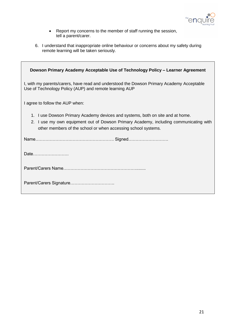

- Report my concerns to the member of staff running the session, tell a parent/carer.
- 6. I understand that inappropriate online behaviour or concerns about my safety during remote learning will be taken seriously.

| Dowson Primary Academy Acceptable Use of Technology Policy - Learner Agreement                                                                                                                                                                 |
|------------------------------------------------------------------------------------------------------------------------------------------------------------------------------------------------------------------------------------------------|
| I, with my parents/carers, have read and understood the Dowson Primary Academy Acceptable<br>Use of Technology Policy (AUP) and remote learning AUP                                                                                            |
| I agree to follow the AUP when:                                                                                                                                                                                                                |
| I use Dowson Primary Academy devices and systems, both on site and at home.<br>1.<br>I use my own equipment out of Dowson Primary Academy, including communicating with<br>2.<br>other members of the school or when accessing school systems. |
|                                                                                                                                                                                                                                                |
| Date                                                                                                                                                                                                                                           |
|                                                                                                                                                                                                                                                |
|                                                                                                                                                                                                                                                |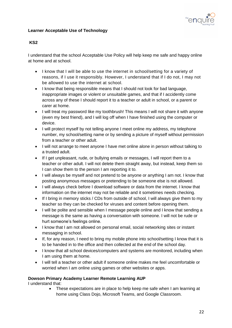

# **Learner Acceptable Use of Technology**

## **KS2**

I understand that the school Acceptable Use Policy will help keep me safe and happy online at home and at school.

- I know that I will be able to use the internet in school/setting for a variety of reasons, if I use it responsibly. However, I understand that if I do not, I may not be allowed to use the internet at school.
- I know that being responsible means that I should not look for bad language, inappropriate images or violent or unsuitable games, and that if I accidently come across any of these I should report it to a teacher or adult in school, or a parent or carer at home.
- I will treat my password like my toothbrush! This means I will not share it with anyone (even my best friend), and I will log off when I have finished using the computer or device.
- I will protect myself by not telling anyone I meet online my address, my telephone number, my school/setting name or by sending a picture of myself without permission from a teacher or other adult.
- I will not arrange to meet anyone I have met online alone in person without talking to a trusted adult.
- If I get unpleasant, rude, or bullying emails or messages, I will report them to a teacher or other adult. I will not delete them straight away, but instead, keep them so I can show them to the person I am reporting it to.
- I will always be myself and not pretend to be anyone or anything I am not. I know that posting anonymous messages or pretending to be someone else is not allowed.
- I will always check before I download software or data from the internet. I know that information on the internet may not be reliable and it sometimes needs checking.
- If I bring in memory sticks / CDs from outside of school, I will always give them to my teacher so they can be checked for viruses and content before opening them.
- I will be polite and sensible when I message people online and I know that sending a message is the same as having a conversation with someone. I will not be rude or hurt someone's feelings online.
- I know that I am not allowed on personal email, social networking sites or instant messaging in school.
- If, for any reason, I need to bring my mobile phone into school/setting I know that it is to be handed in to the office and then collected at the end of the school day.
- I know that all school devices/computers and systems are monitored, including when I am using them at home.
- I will tell a teacher or other adult if someone online makes me feel uncomfortable or worried when I am online using games or other websites or apps.

# **Dowson Primary Academy Learner Remote Learning AUP**

I understand that:

• These expectations are in place to help keep me safe when I am learning at home using Class Dojo, Microsoft Teams, and Google Classroom.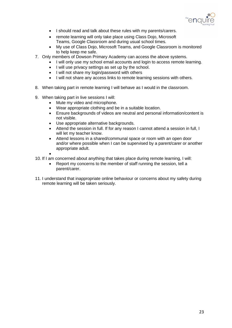

- I should read and talk about these rules with my parents/carers.
- remote learning will only take place using Class Dojo, Microsoft Teams, Google Classroom and during usual school times.
- My use of Class Dojo, Microsoft Teams, and Google Classroom is monitored to help keep me safe.
- 7. Only members of Dowson Primary Academy can access the above systems.
	- I will only use my school email accounts and login to access remote learning.
	- I will use privacy settings as set up by the school.
	- I will not share my login/password with others
	- I will not share any access links to remote learning sessions with others.
- 8. When taking part in remote learning I will behave as I would in the classroom.
- 9. When taking part in live sessions I will:
	- Mute my video and microphone.
	- Wear appropriate clothing and be in a suitable location.
	- Ensure backgrounds of videos are neutral and personal information/content is not visible.
	- Use appropriate alternative backgrounds.
	- Attend the session in full. If for any reason I cannot attend a session in full, I will let my teacher know.
	- Attend lessons in a shared/communal space or room with an open door and/or where possible when I can be supervised by a parent/carer or another appropriate adult.
	- •
- 10. If I am concerned about anything that takes place during remote learning, I will:
	- Report my concerns to the member of staff running the session, tell a parent/carer.
- 11. I understand that inappropriate online behaviour or concerns about my safety during remote learning will be taken seriously.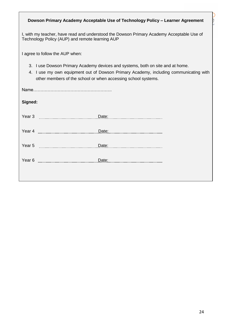| Dowson Primary Academy Acceptable Use of Technology Policy - Learner Agreement                                                                                                                                                              |  |  |  |  |
|---------------------------------------------------------------------------------------------------------------------------------------------------------------------------------------------------------------------------------------------|--|--|--|--|
| I, with my teacher, have read and understood the Dowson Primary Academy Acceptable Use of<br>Technology Policy (AUP) and remote learning AUP                                                                                                |  |  |  |  |
| I agree to follow the AUP when:                                                                                                                                                                                                             |  |  |  |  |
| 3. I use Dowson Primary Academy devices and systems, both on site and at home.<br>I use my own equipment out of Dowson Primary Academy, including communicating with<br>4.<br>other members of the school or when accessing school systems. |  |  |  |  |
|                                                                                                                                                                                                                                             |  |  |  |  |
| Signed:                                                                                                                                                                                                                                     |  |  |  |  |
|                                                                                                                                                                                                                                             |  |  |  |  |
|                                                                                                                                                                                                                                             |  |  |  |  |
|                                                                                                                                                                                                                                             |  |  |  |  |
| Year 6 <b>manual manual manual manual manual manual manual manual manual manual manual manual manual manual manual manual manual manual manual manual manual manual manual manual manual ma</b>                                             |  |  |  |  |
|                                                                                                                                                                                                                                             |  |  |  |  |

N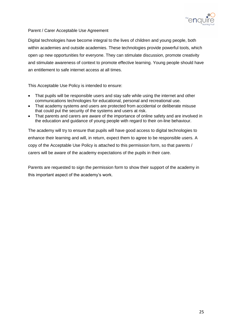

#### Parent / Carer Acceptable Use Agreement

Digital technologies have become integral to the lives of children and young people, both within academies and outside academies. These technologies provide powerful tools, which open up new opportunities for everyone. They can stimulate discussion, promote creativity and stimulate awareness of context to promote effective learning. Young people should have an entitlement to safe internet access at all times.

This Acceptable Use Policy is intended to ensure:

- That pupils will be responsible users and stay safe while using the internet and other communications technologies for educational, personal and recreational use.
- That academy systems and users are protected from accidental or deliberate misuse that could put the security of the systems and users at risk.
- That parents and carers are aware of the importance of online safety and are involved in the education and guidance of young people with regard to their on-line behaviour.

The academy will try to ensure that pupils will have good access to digital technologies to enhance their learning and will, in return, expect them to agree to be responsible users. A copy of the Acceptable Use Policy is attached to this permission form, so that parents / carers will be aware of the academy expectations of the pupils in their care.

Parents are requested to sign the permission form to show their support of the academy in this important aspect of the academy's work.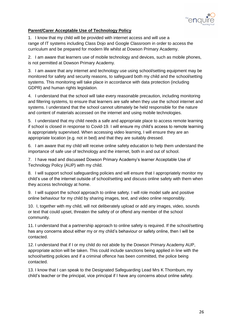

# **Parent/Carer Acceptable Use of Technology Policy**

1. I know that my child will be provided with internet access and will use a range of IT systems including Class Dojo and Google Classroom in order to access the curriculum and be prepared for modern life whilst at Dowson Primary Academy.

2. I am aware that learners use of mobile technology and devices, such as mobile phones, is not permitted at Dowson Primary Academy.

3. I am aware that any internet and technology use using school/setting equipment may be monitored for safety and security reasons, to safeguard both my child and the school/setting systems. This monitoring will take place in accordance with data protection (including GDPR) and human rights legislation.

4. I understand that the school will take every reasonable precaution, including monitoring and filtering systems, to ensure that learners are safe when they use the school internet and systems. I understand that the school cannot ultimately be held responsible for the nature and content of materials accessed on the internet and using mobile technologies.

5. I understand that my child needs a safe and appropriate place to access remote learning if school is closed in response to Covid-19. I will ensure my child's access to remote learning is appropriately supervised. When accessing video learning, I will ensure they are an appropriate location (e.g. not in bed) and that they are suitably dressed.

6. I am aware that my child will receive online safety education to help them understand the importance of safe use of technology and the internet, both in and out of school.

7. I have read and discussed Dowson Primary Academy's learner Acceptable Use of Technology Policy (AUP) with my child.

8. I will support school safeguarding policies and will ensure that I appropriately monitor my child's use of the internet outside of school/setting and discuss online safety with them when they access technology at home.

9. I will support the school approach to online safety. I will role model safe and positive online behaviour for my child by sharing images, text, and video online responsibly.

10. I, together with my child, will not deliberately upload or add any images, video, sounds or text that could upset, threaten the safety of or offend any member of the school community.

11. I understand that a partnership approach to online safety is required. If the school/setting has any concerns about either my or my child's behaviour or safety online, then I will be contacted.

12. I understand that if I or my child do not abide by the Dowson Primary Academy AUP, appropriate action will be taken. This could include sanctions being applied in line with the school/setting policies and if a criminal offence has been committed, the police being contacted.

13. I know that I can speak to the Designated Safeguarding Lead Mrs K Thornburn, my child's teacher or the principal, vice principal if I have any concerns about online safety.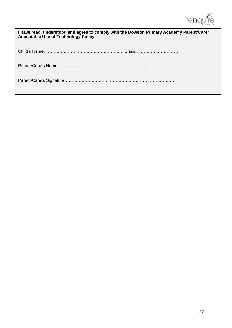

| I have read, understood and agree to comply with the Dowson Primary Academy Parent/Carer<br><b>Acceptable Use of Technology Policy.</b> |  |  |
|-----------------------------------------------------------------------------------------------------------------------------------------|--|--|
|                                                                                                                                         |  |  |
|                                                                                                                                         |  |  |
|                                                                                                                                         |  |  |

Date…………………….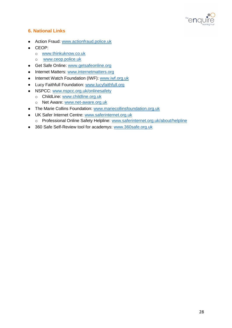

# **6. National Links**

- Action Fraud: [www.actionfraud.police.uk](http://www.actionfraud.police.uk/)
- CEOP:
	- o [www.thinkuknow.co.uk](http://www.thinkuknow.co.uk/)
	- o [www.ceop.police.uk](http://www.ceop.police.uk/)
- Get Safe Online: [www.getsafeonline.org](http://www.getsafeonline.org/)
- Internet Matters: [www.internetmatters.org](http://www.internetmatters.org/)
- Internet Watch Foundation (IWF): [www.iwf.org.uk](http://www.iwf.org.uk/)
- Lucy Faithfull Foundation: [www.lucyfaithfull.org](http://www.lucyfaithfull.org/)
- NSPCC: [www.nspcc.org.uk/onlinesafety](http://www.nspcc.org.uk/onlinesafety)
	- o ChildLine: [www.childline.org.uk](http://www.childline.org.uk/)
	- o Net Aware: [www.net-aware.org.uk](http://www.net-aware.org.uk/)
- The Marie Collins Foundation: [www.mariecollinsfoundation.org.uk](http://www.mariecollinsfoundation.org.uk/)
- UK Safer Internet Centre: [www.saferinternet.org.uk](http://www.saferinternet.org.uk/)
	- o Professional Online Safety Helpline: [www.saferinternet.org.uk/about/helpline](http://www.saferinternet.org.uk/about/helpline)
- 360 Safe Self-Review tool for academys: [www.360safe.org.uk](http://www.360safe.org.uk/)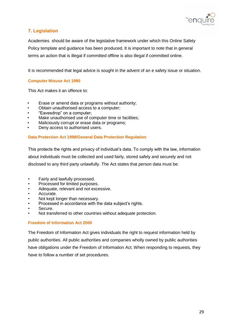

# **7. Legislation**

Academies should be aware of the legislative framework under which this Online Safety Policy template and guidance has been produced. It is important to note that in general terms an action that is illegal if committed offline is also illegal if committed online.

It is recommended that legal advice is sought in the advent of an e safety issue or situation.

#### **Computer Misuse Act 1990**

This Act makes it an offence to:

- Erase or amend data or programs without authority;
- Obtain unauthorised access to a computer;
- "Eavesdrop" on a computer;
- Make unauthorised use of computer time or facilities;
- Maliciously corrupt or erase data or programs;
- Deny access to authorised users.

#### **Data Protection Act 1998/General Data Protection Regulation**

This protects the rights and privacy of individual's data. To comply with the law, information about individuals must be collected and used fairly, stored safely and securely and not disclosed to any third party unlawfully. The Act states that person data must be:

- Fairly and lawfully processed.
- Processed for limited purposes.
- Adequate, relevant and not excessive.
- Accurate.
- Not kept longer than necessary.
- Processed in accordance with the data subject's rights.
- Secure.
- Not transferred to other countries without adequate protection.

#### **Freedom of Information Act 2000**

The Freedom of Information Act gives individuals the right to request information held by public authorities. All public authorities and companies wholly owned by public authorities have obligations under the Freedom of Information Act. When responding to requests, they have to follow a number of set procedures.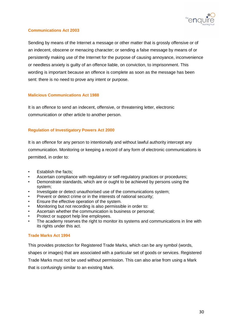

## **Communications Act 2003**

Sending by means of the Internet a message or other matter that is grossly offensive or of an indecent, obscene or menacing character; or sending a false message by means of or persistently making use of the Internet for the purpose of causing annoyance, inconvenience or needless anxiety is guilty of an offence liable, on conviction, to imprisonment. This wording is important because an offence is complete as soon as the message has been sent: there is no need to prove any intent or purpose.

#### **Malicious Communications Act 1988**

It is an offence to send an indecent, offensive, or threatening letter, electronic communication or other article to another person.

#### **Regulation of Investigatory Powers Act 2000**

It is an offence for any person to intentionally and without lawful authority intercept any communication. Monitoring or keeping a record of any form of electronic communications is permitted, in order to:

- Establish the facts;
- Ascertain compliance with regulatory or self-regulatory practices or procedures;
- Demonstrate standards, which are or ought to be achieved by persons using the system;
- Investigate or detect unauthorised use of the communications system;
- Prevent or detect crime or in the interests of national security;
- Ensure the effective operation of the system.
- Monitoring but not recording is also permissible in order to:
- Ascertain whether the communication is business or personal;
- Protect or support help line employees.
- The academy reserves the right to monitor its systems and communications in line with its rights under this act.

#### **Trade Marks Act 1994**

This provides protection for Registered Trade Marks, which can be any symbol (words, shapes or images) that are associated with a particular set of goods or services. Registered Trade Marks must not be used without permission. This can also arise from using a Mark that is confusingly similar to an existing Mark.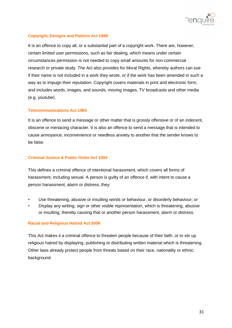

## **Copyright, Designs and Patents Act 1988**

It is an offence to copy all, or a substantial part of a copyright work. There are, however, certain limited user permissions, such as fair dealing, which means under certain circumstances permission is not needed to copy small amounts for non-commercial research or private study. The Act also provides for Moral Rights, whereby authors can sue if their name is not included in a work they wrote, or if the work has been amended in such a way as to impugn their reputation. Copyright covers materials in print and electronic form, and includes words, images, and sounds, moving images, TV broadcasts and other media (e.g. youtube).

#### **Telecommunications Act 1984**

It is an offence to send a message or other matter that is grossly offensive or of an indecent, obscene or menacing character. It is also an offence to send a message that is intended to cause annoyance, inconvenience or needless anxiety to another that the sender knows to be false.

#### **Criminal Justice & Public Order Act 1994**

This defines a criminal offence of intentional harassment, which covers all forms of harassment, including sexual. A person is guilty of an offence if, with intent to cause a person harassment, alarm or distress, they:

- Use threatening, abusive or insulting words or behaviour, or disorderly behaviour; or
- Display any writing, sign or other visible representation, which is threatening, abusive or insulting, thereby causing that or another person harassment, alarm or distress.

#### **Racial and Religious Hatred Act 2006**

This Act makes it a criminal offence to threaten people because of their faith, or to stir up religious hatred by displaying, publishing or distributing written material which is threatening. Other laws already protect people from threats based on their race, nationality or ethnic background.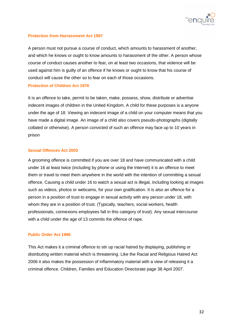

#### **Protection from Harrassment Act 1997**

A person must not pursue a course of conduct, which amounts to harassment of another, and which he knows or ought to know amounts to harassment of the other. A person whose course of conduct causes another to fear, on at least two occasions, that violence will be used against him is guilty of an offence if he knows or ought to know that his course of conduct will cause the other so to fear on each of those occasions.

#### **Protection of Children Act 1978**

It is an offence to take, permit to be taken, make, possess, show, distribute or advertise indecent images of children in the United Kingdom. A child for these purposes is a anyone under the age of 18. Viewing an indecent image of a child on your computer means that you have made a digital image. An image of a child also covers pseudo-photographs (digitally collated or otherwise). A person convicted of such an offence may face up to 10 years in prison

#### **Sexual Offences Act 2003**

A grooming offence is committed if you are over 18 and have communicated with a child under 16 at least twice (including by phone or using the Internet) it is an offence to meet them or travel to meet them anywhere in the world with the intention of committing a sexual offence. Causing a child under 16 to watch a sexual act is illegal, including looking at images such as videos, photos or webcams, for your own gratification. It is also an offence for a person in a position of trust to engage in sexual activity with any person under 18, with whom they are in a position of trust. (Typically, teachers, social workers, health professionals, connexions employees fall in this category of trust). Any sexual intercourse with a child under the age of 13 commits the offence of rape.

#### **Public Order Act 1986**

This Act makes it a criminal offence to stir up racial hatred by displaying, publishing or distributing written material which is threatening. Like the Racial and Religious Hatred Act 2006 it also makes the possession of inflammatory material with a view of releasing it a criminal offence. Children, Families and Education Directorate page 38 April 2007.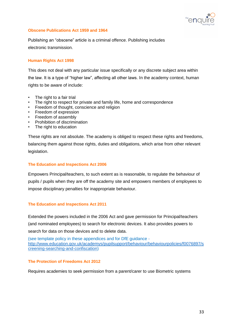

#### **Obscene Publications Act 1959 and 1964**

Publishing an "obscene" article is a criminal offence. Publishing includes electronic transmission.

#### **Human Rights Act 1998**

This does not deal with any particular issue specifically or any discrete subject area within the law. It is a type of "higher law", affecting all other laws. In the academy context, human rights to be aware of include:

- The right to a fair trial
- The right to respect for private and family life, home and correspondence
- Freedom of thought, conscience and religion
- Freedom of expression
- Freedom of assembly
- Prohibition of discrimination
- The right to education

These rights are not absolute. The academy is obliged to respect these rights and freedoms, balancing them against those rights, duties and obligations, which arise from other relevant legislation.

#### **The Education and Inspections Act 2006**

Empowers Principal/teachers, to such extent as is reasonable, to regulate the behaviour of pupils / pupils when they are off the academy site and empowers members of employees to impose disciplinary penalties for inappropriate behaviour.

#### **The Education and Inspections Act 2011**

Extended the powers included in the 2006 Act and gave permission for Principal/teachers (and nominated employees) to search for electronic devices. It also provides powers to search for data on those devices and to delete data.

(see template policy in these appendices and for DfE guidance [http://www.education.gov.uk/academys/pupilsupport/behaviour/behaviourpolicies/f0076897/s](http://www.education.gov.uk/schools/pupilsupport/behaviour/behaviourpolicies/f0076897/screening-searching-and-confiscation) [creening-searching-and-confiscation\)](http://www.education.gov.uk/schools/pupilsupport/behaviour/behaviourpolicies/f0076897/screening-searching-and-confiscation)

#### **The Protection of Freedoms Act 2012**

Requires academies to seek permission from a parent/carer to use Biometric systems